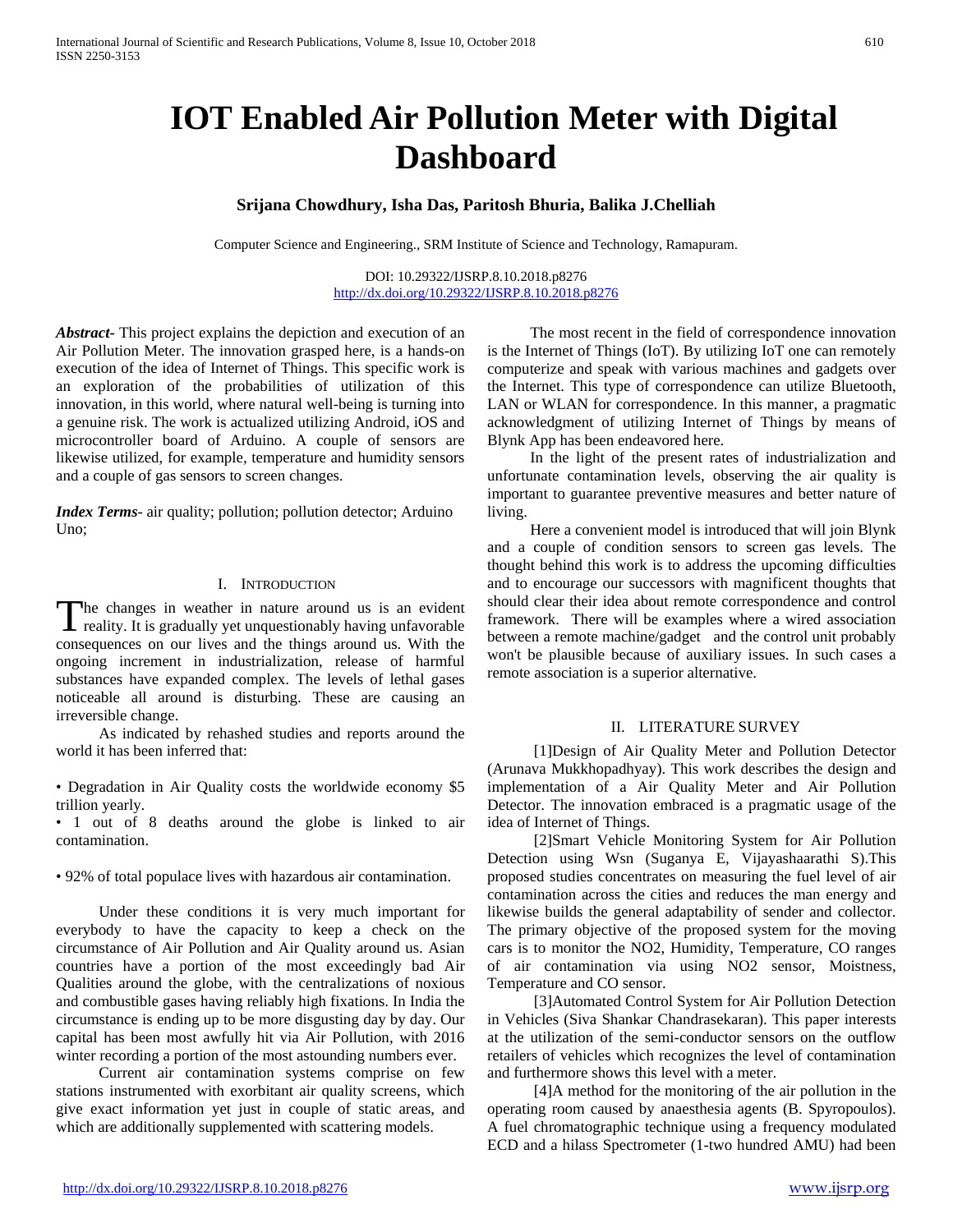# **IOT Enabled Air Pollution Meter with Digital Dashboard**

## **Srijana Chowdhury, Isha Das, Paritosh Bhuria, Balika J.Chelliah**

Computer Science and Engineering., SRM Institute of Science and Technology, Ramapuram.

DOI: 10.29322/IJSRP.8.10.2018.p8276 <http://dx.doi.org/10.29322/IJSRP.8.10.2018.p8276>

*Abstract***-** This project explains the depiction and execution of an Air Pollution Meter. The innovation grasped here, is a hands-on execution of the idea of Internet of Things. This specific work is an exploration of the probabilities of utilization of this innovation, in this world, where natural well-being is turning into a genuine risk. The work is actualized utilizing Android, iOS and microcontroller board of Arduino. A couple of sensors are likewise utilized, for example, temperature and humidity sensors and a couple of gas sensors to screen changes.

*Index Terms*- air quality; pollution; pollution detector; Arduino Uno;

#### I. INTRODUCTION

he changes in weather in nature around us is an evident The changes in weather in nature around us is an evident<br>reality. It is gradually yet unquestionably having unfavorable<br>with the With the consequences on our lives and the things around us. With the ongoing increment in industrialization, release of harmful substances have expanded complex. The levels of lethal gases noticeable all around is disturbing. These are causing an irreversible change.

 As indicated by rehashed studies and reports around the world it has been inferred that:

• Degradation in Air Quality costs the worldwide economy \$5 trillion yearly.

• 1 out of 8 deaths around the globe is linked to air contamination.

• 92% of total populace lives with hazardous air contamination.

 Under these conditions it is very much important for everybody to have the capacity to keep a check on the circumstance of Air Pollution and Air Quality around us. Asian countries have a portion of the most exceedingly bad Air Qualities around the globe, with the centralizations of noxious and combustible gases having reliably high fixations. In India the circumstance is ending up to be more disgusting day by day. Our capital has been most awfully hit via Air Pollution, with 2016 winter recording a portion of the most astounding numbers ever.

 Current air contamination systems comprise on few stations instrumented with exorbitant air quality screens, which give exact information yet just in couple of static areas, and which are additionally supplemented with scattering models.

 The most recent in the field of correspondence innovation is the Internet of Things (IoT). By utilizing IoT one can remotely computerize and speak with various machines and gadgets over the Internet. This type of correspondence can utilize Bluetooth, LAN or WLAN for correspondence. In this manner, a pragmatic acknowledgment of utilizing Internet of Things by means of Blynk App has been endeavored here.

 In the light of the present rates of industrialization and unfortunate contamination levels, observing the air quality is important to guarantee preventive measures and better nature of living.

 Here a convenient model is introduced that will join Blynk and a couple of condition sensors to screen gas levels. The thought behind this work is to address the upcoming difficulties and to encourage our successors with magnificent thoughts that should clear their idea about remote correspondence and control framework. There will be examples where a wired association between a remote machine/gadget and the control unit probably won't be plausible because of auxiliary issues. In such cases a remote association is a superior alternative.

#### II. LITERATURE SURVEY

 [1]Design of Air Quality Meter and Pollution Detector (Arunava Mukkhopadhyay). This work describes the design and implementation of a Air Quality Meter and Air Pollution Detector. The innovation embraced is a pragmatic usage of the idea of Internet of Things.

 [2]Smart Vehicle Monitoring System for Air Pollution Detection using Wsn (Suganya E, Vijayashaarathi S).This proposed studies concentrates on measuring the fuel level of air contamination across the cities and reduces the man energy and likewise builds the general adaptability of sender and collector. The primary objective of the proposed system for the moving cars is to monitor the NO2, Humidity, Temperature, CO ranges of air contamination via using NO2 sensor, Moistness, Temperature and CO sensor.

 [3]Automated Control System for Air Pollution Detection in Vehicles (Siva Shankar Chandrasekaran). This paper interests at the utilization of the semi-conductor sensors on the outflow retailers of vehicles which recognizes the level of contamination and furthermore shows this level with a meter.

 [4]A method for the monitoring of the air pollution in the operating room caused by anaesthesia agents (B. Spyropoulos). A fuel chromatographic technique using a frequency modulated ECD and a hilass Spectrometer (1-two hundred AMU) had been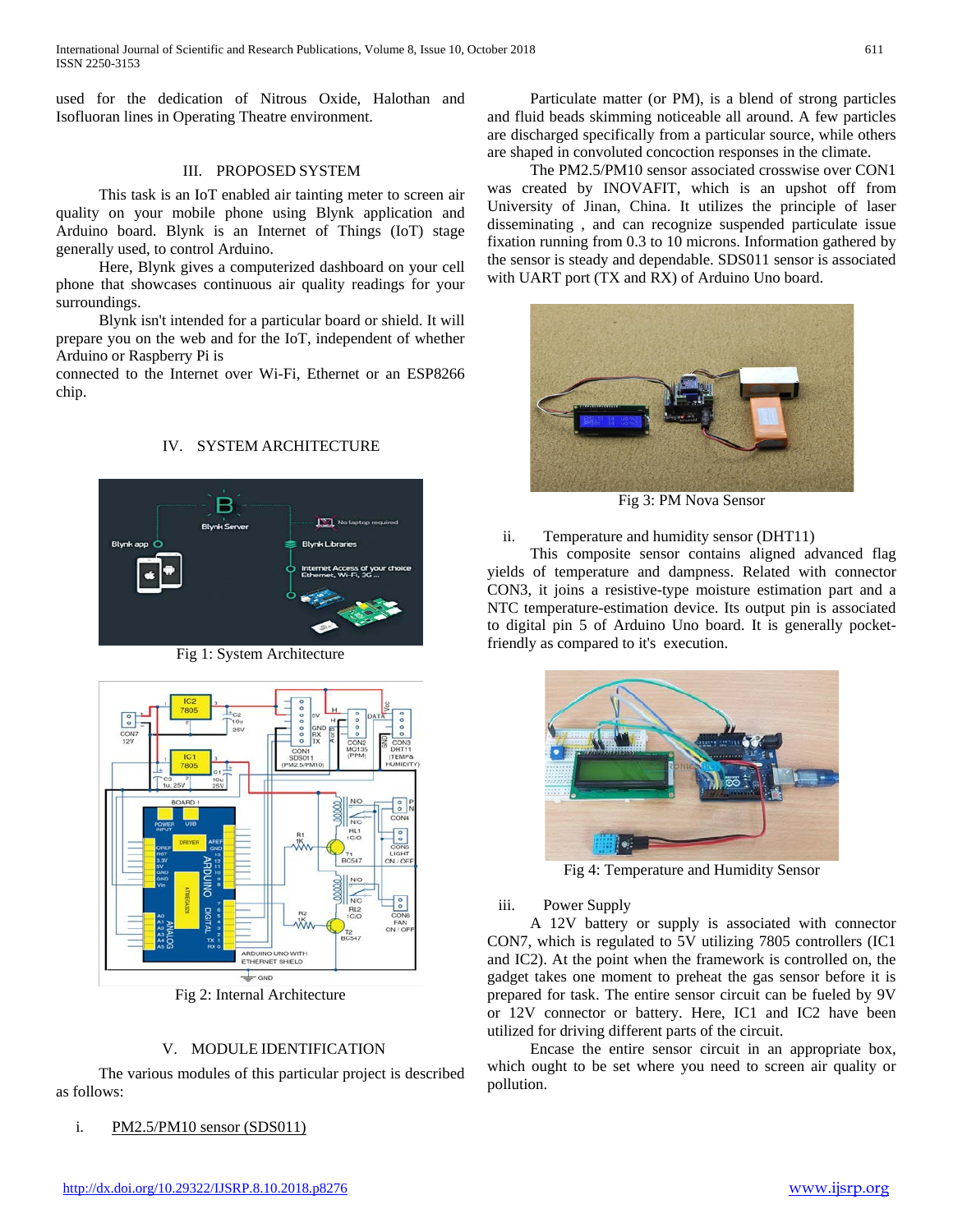used for the dedication of Nitrous Oxide, Halothan and Isofluoran lines in Operating Theatre environment.

#### III. PROPOSED SYSTEM

 This task is an IoT enabled air tainting meter to screen air quality on your mobile phone using Blynk application and Arduino board. Blynk is an Internet of Things (IoT) stage generally used, to control Arduino.

 Here, Blynk gives a computerized dashboard on your cell phone that showcases continuous air quality readings for your surroundings.

 Blynk isn't intended for a particular board or shield. It will prepare you on the web and for the IoT, independent of whether Arduino or Raspberry Pi is

connected to the Internet over Wi-Fi, Ethernet or an ESP8266 chip.

# IV. SYSTEM ARCHITECTURE



Fig 1: System Architecture



Fig 2: Internal Architecture

## V. MODULE IDENTIFICATION

 The various modules of this particular project is described as follows:

## i. PM2.5/PM10 sensor (SDS011)

 Particulate matter (or PM), is a blend of strong particles and fluid beads skimming noticeable all around. A few particles are discharged specifically from a particular source, while others are shaped in convoluted concoction responses in the climate.

 The PM2.5/PM10 sensor associated crosswise over CON1 was created by INOVAFIT, which is an upshot off from University of Jinan, China. It utilizes the principle of laser disseminating , and can recognize suspended particulate issue fixation running from 0.3 to 10 microns. Information gathered by the sensor is steady and dependable. SDS011 sensor is associated with UART port (TX and RX) of Arduino Uno board.



Fig 3: PM Nova Sensor

## ii. Temperature and humidity sensor (DHT11)

 This composite sensor contains aligned advanced flag yields of temperature and dampness. Related with connector CON3, it joins a resistive-type moisture estimation part and a NTC temperature-estimation device. Its output pin is associated to digital pin 5 of Arduino Uno board. It is generally pocketfriendly as compared to it's execution.



Fig 4: Temperature and Humidity Sensor

#### iii. Power Supply

 A 12V battery or supply is associated with connector CON7, which is regulated to 5V utilizing 7805 controllers (IC1 and IC2). At the point when the framework is controlled on, the gadget takes one moment to preheat the gas sensor before it is prepared for task. The entire sensor circuit can be fueled by 9V or 12V connector or battery. Here, IC1 and IC2 have been utilized for driving different parts of the circuit.

 Encase the entire sensor circuit in an appropriate box, which ought to be set where you need to screen air quality or pollution.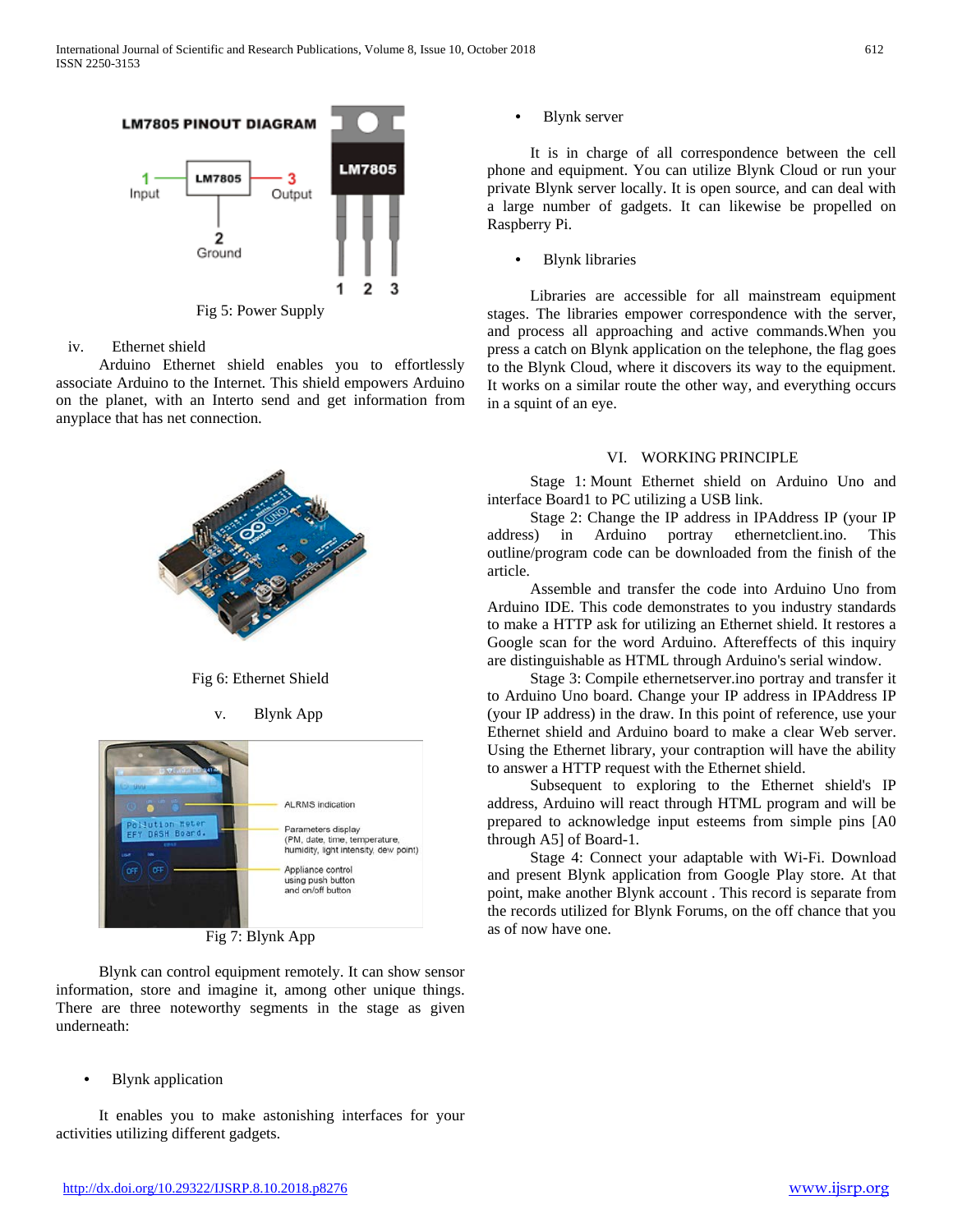

iv. Ethernet shield

 Arduino Ethernet shield enables you to effortlessly associate Arduino to the Internet. This shield empowers Arduino on the planet, with an Interto send and get information from anyplace that has net connection.



Fig 6: Ethernet Shield





Fig 7: Blynk App

 Blynk can control equipment remotely. It can show sensor information, store and imagine it, among other unique things. There are three noteworthy segments in the stage as given underneath:

• Blynk application

 It enables you to make astonishing interfaces for your activities utilizing different gadgets.

**Blynk** server

 It is in charge of all correspondence between the cell phone and equipment. You can utilize Blynk Cloud or run your private Blynk server locally. It is open source, and can deal with a large number of gadgets. It can likewise be propelled on Raspberry Pi.

• Blynk libraries

 Libraries are accessible for all mainstream equipment stages. The libraries empower correspondence with the server, and process all approaching and active commands.When you press a catch on Blynk application on the telephone, the flag goes to the Blynk Cloud, where it discovers its way to the equipment. It works on a similar route the other way, and everything occurs in a squint of an eye.

# VI. WORKING PRINCIPLE

 Stage 1: Mount Ethernet shield on Arduino Uno and interface Board1 to PC utilizing a USB link.

 Stage 2: Change the IP address in IPAddress IP (your IP address) in Arduino portray ethernetclient.ino. This outline/program code can be downloaded from the finish of the article.

 Assemble and transfer the code into Arduino Uno from Arduino IDE. This code demonstrates to you industry standards to make a HTTP ask for utilizing an Ethernet shield. It restores a Google scan for the word Arduino. Aftereffects of this inquiry are distinguishable as HTML through Arduino's serial window.

 Stage 3: Compile ethernetserver.ino portray and transfer it to Arduino Uno board. Change your IP address in IPAddress IP (your IP address) in the draw. In this point of reference, use your Ethernet shield and Arduino board to make a clear Web server. Using the Ethernet library, your contraption will have the ability to answer a HTTP request with the Ethernet shield.

 Subsequent to exploring to the Ethernet shield's IP address, Arduino will react through HTML program and will be prepared to acknowledge input esteems from simple pins [A0 through A5] of Board-1.

 Stage 4: Connect your adaptable with Wi-Fi. Download and present Blynk application from Google Play store. At that point, make another Blynk account . This record is separate from the records utilized for Blynk Forums, on the off chance that you as of now have one.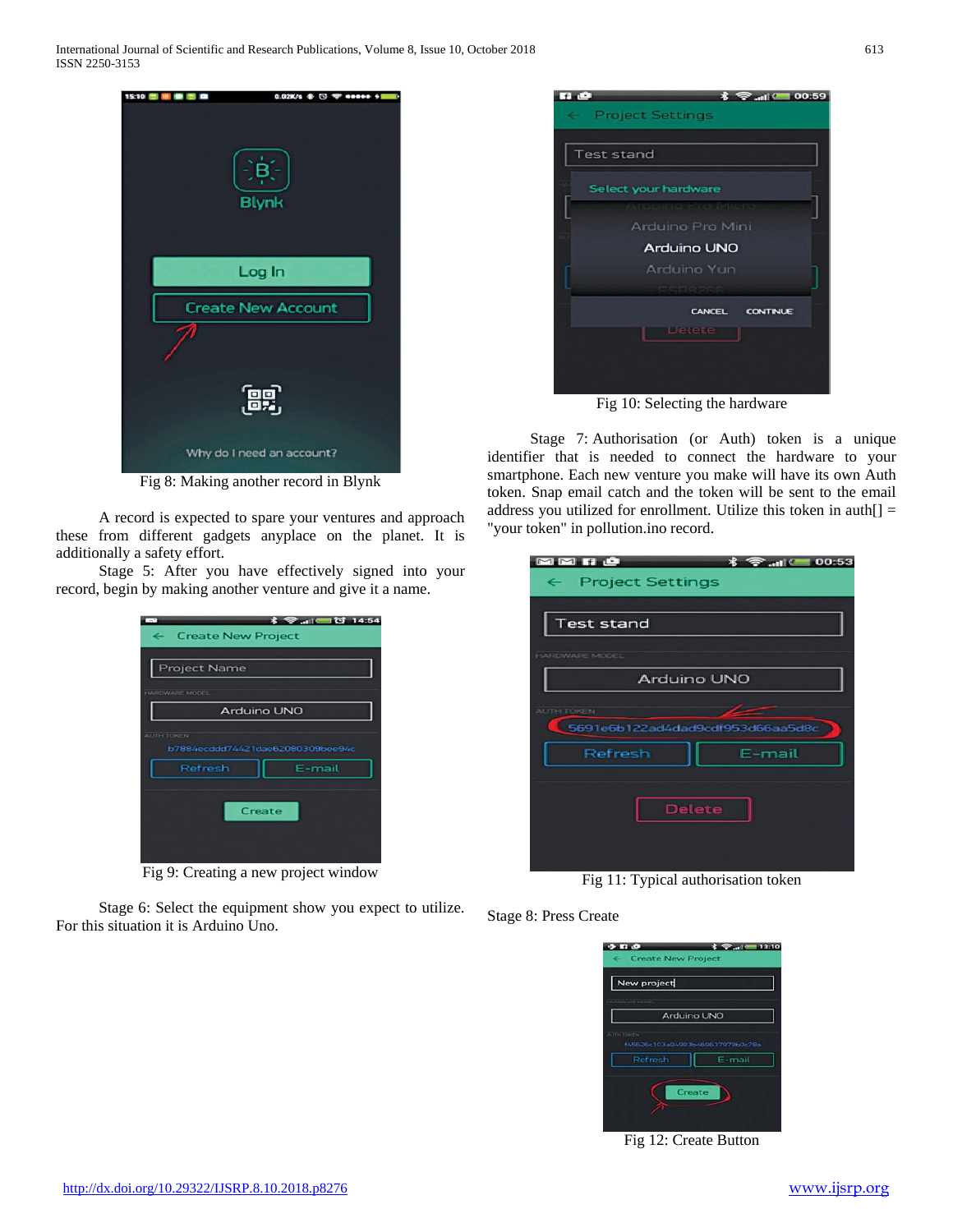

Fig 8: Making another record in Blynk

 A record is expected to spare your ventures and approach these from different gadgets anyplace on the planet. It is additionally a safety effort.

 Stage 5: After you have effectively signed into your record, begin by making another venture and give it a name.

| <b>术 ● 川 □ 过 14:54</b><br>← Create New Project        |
|-------------------------------------------------------|
| <b>Project Name</b>                                   |
| HARDWARE MODEL<br>Arduino UNO                         |
| <b>AUTH TOKEN</b><br>b7884ecddd74421dae62080309bee94c |
| E-mail<br>Refresh                                     |
| Create                                                |
|                                                       |

Fig 9: Creating a new project window

 Stage 6: Select the equipment show you expect to utilize. For this situation it is Arduino Uno.



Fig 10: Selecting the hardware

 Stage 7: Authorisation (or Auth) token is a unique identifier that is needed to connect the hardware to your smartphone. Each new venture you make will have its own Auth token. Snap email catch and the token will be sent to the email address you utilized for enrollment. Utilize this token in auth $[] =$ "your token" in pollution.ino record.

| MMHO                          |                                  |
|-------------------------------|----------------------------------|
| $\leftarrow$ Project Settings |                                  |
|                               |                                  |
| <b>Test stand</b>             |                                  |
| <b>HARDWARE MODEL</b>         |                                  |
|                               | <b>Arduino UNO</b>               |
| AUTH TOKEN                    |                                  |
|                               | 5691e6b122ad4dad9cdf953d66aa5d8c |
| Refresh                       | F-mail                           |
|                               | <b>Delete</b>                    |

Fig 11: Typical authorisation token

Stage 8: Press Create



Fig 12: Create Button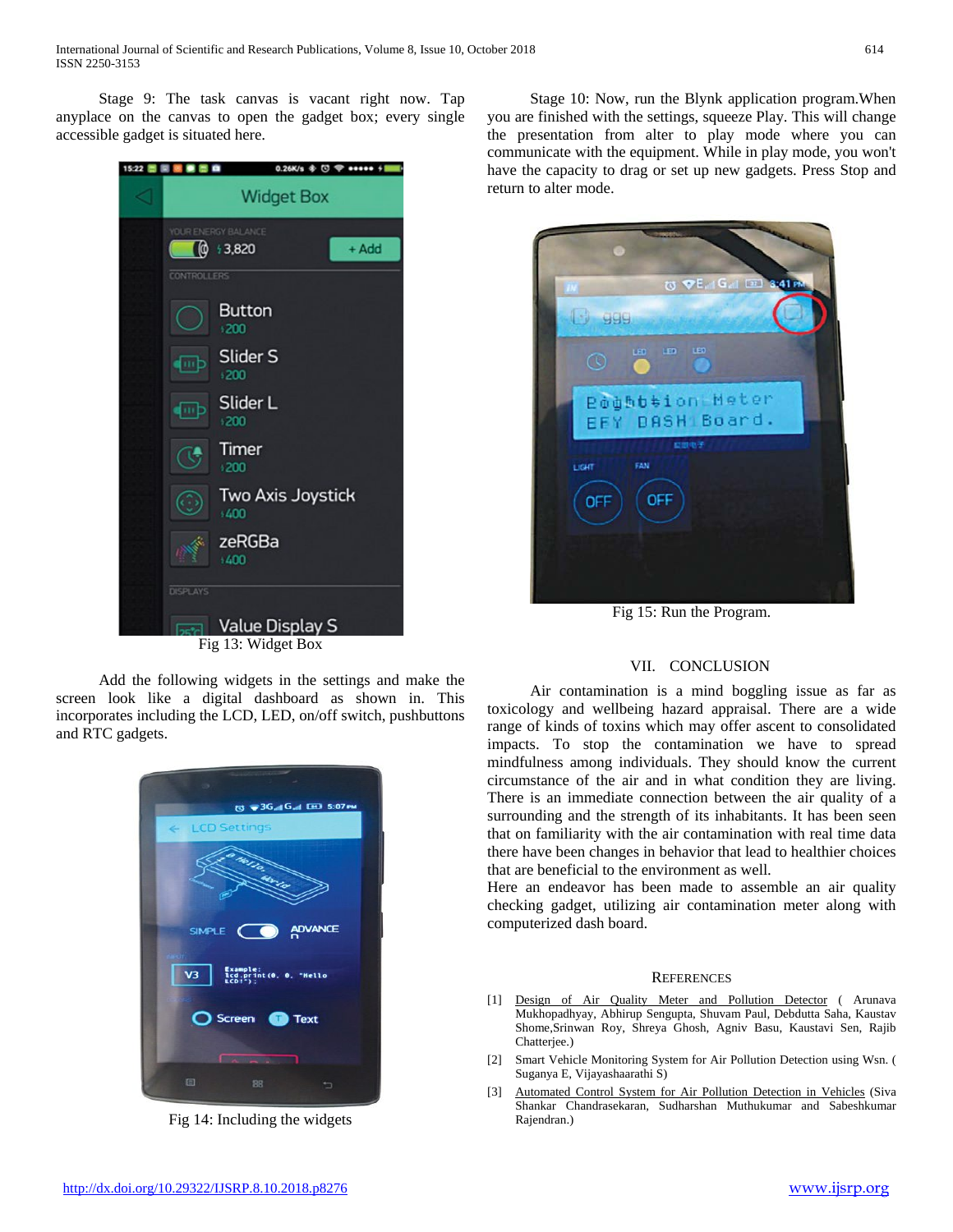Stage 9: The task canvas is vacant right now. Tap anyplace on the canvas to open the gadget box; every single accessible gadget is situated here.

| 15:22 圈圈 | $0.26K/s \oplus \textcircled{1}$ $\circledast$ seess $\div$<br><b>75 CO</b> |
|----------|-----------------------------------------------------------------------------|
|          | <b>Widget Box</b>                                                           |
|          | YOUR ENERGY BALANCE<br>(@ +3,820<br>+ Add                                   |
|          | <b>CONTROLLERS</b>                                                          |
|          | <b>Button</b><br>$+200$                                                     |
|          | Slider S<br><b>III</b> b<br>1200                                            |
|          | Slider L<br>(iii b<br>1200                                                  |
|          | Timer<br>,200                                                               |
|          | <b>Two Axis Joystick</b><br>\$400                                           |
|          | zeRGBa<br>1400                                                              |
|          | <b>DISPLAYS</b>                                                             |
|          | <b>Value Display S</b><br>г.<br>12. WE J $\sim$ D .                         |

Fig 13: Widget Box

 Add the following widgets in the settings and make the screen look like a digital dashboard as shown in. This incorporates including the LCD, LED, on/off switch, pushbuttons and RTC gadgets.



Fig 14: Including the widgets

 Stage 10: Now, run the Blynk application program.When you are finished with the settings, squeeze Play. This will change the presentation from alter to play mode where you can communicate with the equipment. While in play mode, you won't have the capacity to drag or set up new gadgets. Press Stop and return to alter mode.



Fig 15: Run the Program.

## VII. CONCLUSION

 Air contamination is a mind boggling issue as far as toxicology and wellbeing hazard appraisal. There are a wide range of kinds of toxins which may offer ascent to consolidated impacts. To stop the contamination we have to spread mindfulness among individuals. They should know the current circumstance of the air and in what condition they are living. There is an immediate connection between the air quality of a surrounding and the strength of its inhabitants. It has been seen that on familiarity with the air contamination with real time data there have been changes in behavior that lead to healthier choices that are beneficial to the environment as well.

Here an endeavor has been made to assemble an air quality checking gadget, utilizing air contamination meter along with computerized dash board.

#### **REFERENCES**

- [1] Design of Air Quality Meter and Pollution Detector ( Arunava Mukhopadhyay, Abhirup Sengupta, Shuvam Paul, Debdutta Saha, Kaustav Shome,Srinwan Roy, Shreya Ghosh, Agniv Basu, Kaustavi Sen, Rajib Chatterjee.)
- [2] Smart Vehicle Monitoring System for Air Pollution Detection using Wsn. ( Suganya E, Vijayashaarathi S)
- [3] Automated Control System for Air Pollution Detection in Vehicles (Siva Shankar Chandrasekaran, Sudharshan Muthukumar and Sabeshkumar Rajendran.)